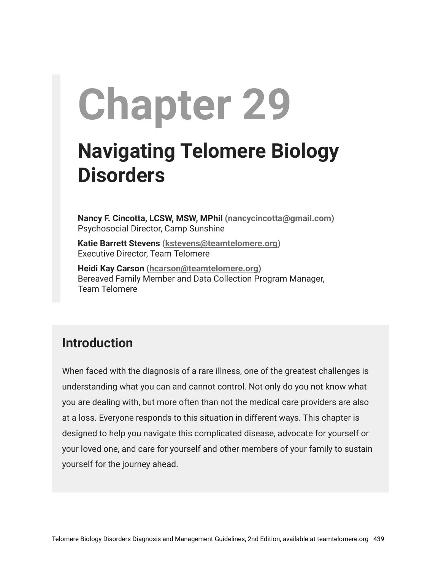# **Chapter 29**

## **Navigating Telomere Biology Disorders**

**Nancy F. Cincotta, LCSW, MSW, MPhil [\(nancycincotta@gmail.com](mailto:nancycincotta@gmail.com))** Psychosocial Director, Camp Sunshine

**Katie Barrett Stevens ([kstevens@teamtelomere.org\)](http://kstevens@teamtelomere.org/)** Executive Director, Team Telomere

**Heidi Kay Carson ([hcarson@teamtelomere.org](mailto:hcarson@teamtelomere.org))** Bereaved Family Member and Data Collection Program Manager, Team Telomere

## **Introduction**

When faced with the diagnosis of a rare illness, one of the greatest challenges is understanding what you can and cannot control. Not only do you not know what you are dealing with, but more often than not the medical care providers are also at a loss. Everyone responds to this situation in different ways. This chapter is designed to help you navigate this complicated disease, advocate for yourself or your loved one, and care for yourself and other members of your family to sustain yourself for the journey ahead.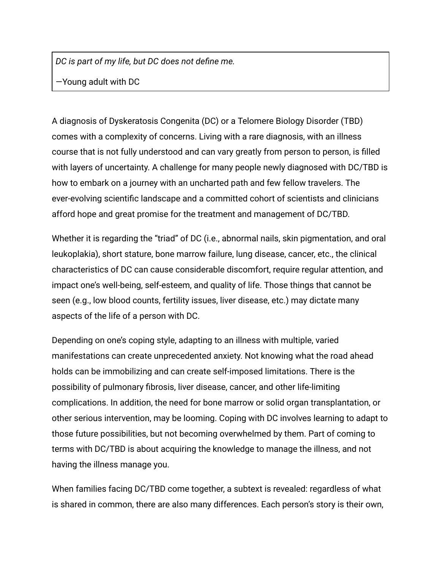*DC is part of my life, but DC does not define me.*

—Young adult with DC

A diagnosis of Dyskeratosis Congenita (DC) or a Telomere Biology Disorder (TBD) comes with a complexity of concerns. Living with a rare diagnosis, with an illness course that is not fully understood and can vary greatly from person to person, is filled with layers of uncertainty. A challenge for many people newly diagnosed with DC/TBD is how to embark on a journey with an uncharted path and few fellow travelers. The ever-evolving scientific landscape and a committed cohort of scientists and clinicians afford hope and great promise for the treatment and management of DC/TBD.

Whether it is regarding the "triad" of DC (i.e., abnormal nails, skin pigmentation, and oral leukoplakia), short stature, bone marrow failure, lung disease, cancer, etc., the clinical characteristics of DC can cause considerable discomfort, require regular attention, and impact one's well-being, self-esteem, and quality of life. Those things that cannot be seen (e.g., low blood counts, fertility issues, liver disease, etc.) may dictate many aspects of the life of a person with DC.

Depending on one's coping style, adapting to an illness with multiple, varied manifestations can create unprecedented anxiety. Not knowing what the road ahead holds can be immobilizing and can create self-imposed limitations. There is the possibility of pulmonary fibrosis, liver disease, cancer, and other life-limiting complications. In addition, the need for bone marrow or solid organ transplantation, or other serious intervention, may be looming. Coping with DC involves learning to adapt to those future possibilities, but not becoming overwhelmed by them. Part of coming to terms with DC/TBD is about acquiring the knowledge to manage the illness, and not having the illness manage you.

When families facing DC/TBD come together, a subtext is revealed: regardless of what is shared in common, there are also many differences. Each person's story is their own,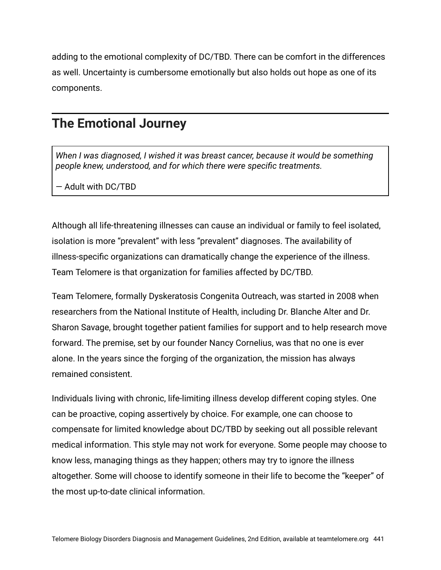adding to the emotional complexity of DC/TBD. There can be comfort in the differences as well. Uncertainty is cumbersome emotionally but also holds out hope as one of its components.

#### **The Emotional Journey**

*When I was diagnosed, I wished it was breast cancer, because it would be something people knew, understood, and for which there were specific treatments.*

— Adult with DC/TBD

Although all life-threatening illnesses can cause an individual or family to feel isolated, isolation is more "prevalent" with less "prevalent" diagnoses. The availability of illness-specific organizations can dramatically change the experience of the illness. Team Telomere is that organization for families affected by DC/TBD.

Team Telomere, formally Dyskeratosis Congenita Outreach, was started in 2008 when researchers from the National Institute of Health, including Dr. Blanche Alter and Dr. Sharon Savage, brought together patient families for support and to help research move forward. The premise, set by our founder Nancy Cornelius, was that no one is ever alone. In the years since the forging of the organization, the mission has always remained consistent.

Individuals living with chronic, life-limiting illness develop different coping styles. One can be proactive, coping assertively by choice. For example, one can choose to compensate for limited knowledge about DC/TBD by seeking out all possible relevant medical information. This style may not work for everyone. Some people may choose to know less, managing things as they happen; others may try to ignore the illness altogether. Some will choose to identify someone in their life to become the "keeper" of the most up-to-date clinical information.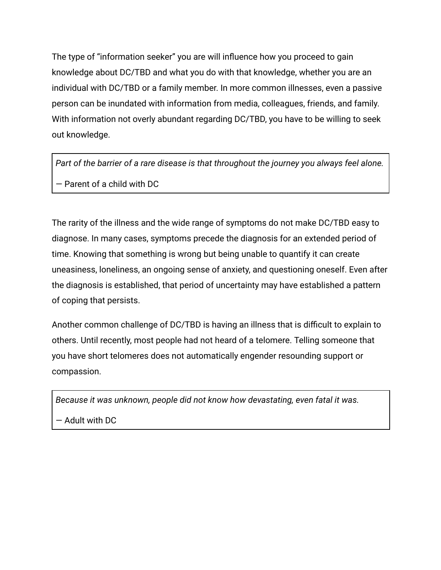The type of "information seeker" you are will influence how you proceed to gain knowledge about DC/TBD and what you do with that knowledge, whether you are an individual with DC/TBD or a family member. In more common illnesses, even a passive person can be inundated with information from media, colleagues, friends, and family. With information not overly abundant regarding DC/TBD, you have to be willing to seek out knowledge.

*Part of the barrier of a rare disease is that throughout the journey you always feel alone.* — Parent of a child with DC

The rarity of the illness and the wide range of symptoms do not make DC/TBD easy to diagnose. In many cases, symptoms precede the diagnosis for an extended period of time. Knowing that something is wrong but being unable to quantify it can create uneasiness, loneliness, an ongoing sense of anxiety, and questioning oneself. Even after the diagnosis is established, that period of uncertainty may have established a pattern of coping that persists.

Another common challenge of DC/TBD is having an illness that is difficult to explain to others. Until recently, most people had not heard of a telomere. Telling someone that you have short telomeres does not automatically engender resounding support or compassion.

*Because it was unknown, people did not know how devastating, even fatal it was.*

— Adult with DC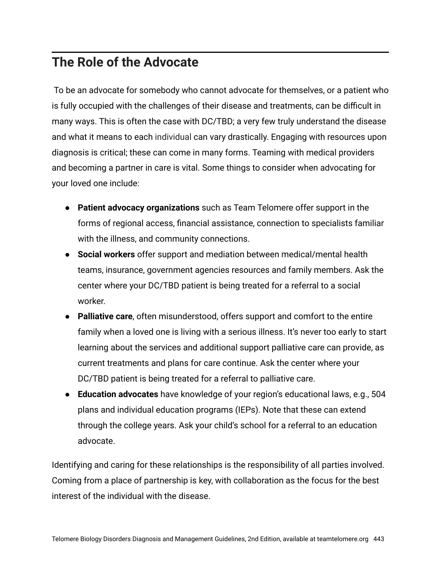## **The Role of the Advocate**

To be an advocate for somebody who cannot advocate for themselves, or a patient who is fully occupied with the challenges of their disease and treatments, can be difficult in many ways. This is often the case with DC/TBD; a very few truly understand the disease and what it means to each individual can vary drastically. Engaging with resources upon diagnosis is critical; these can come in many forms. Teaming with medical providers and becoming a partner in care is vital. Some things to consider when advocating for your loved one include:

- **Patient advocacy organizations** such as Team Telomere offer support in the forms of regional access, financial assistance, connection to specialists familiar with the illness, and community connections.
- **Social workers** offer support and mediation between medical/mental health teams, insurance, government agencies resources and family members. Ask the center where your DC/TBD patient is being treated for a referral to a social worker.
- **Palliative care**, often misunderstood, offers support and comfort to the entire family when a loved one is living with a serious illness. It's never too early to start learning about the services and additional support palliative care can provide, as current treatments and plans for care continue. Ask the center where your DC/TBD patient is being treated for a referral to palliative care.
- **Education advocates** have knowledge of your region's educational laws, e.g., 504 plans and individual education programs (IEPs). Note that these can extend through the college years. Ask your child's school for a referral to an education advocate.

Identifying and caring for these relationships is the responsibility of all parties involved. Coming from a place of partnership is key, with collaboration as the focus for the best interest of the individual with the disease.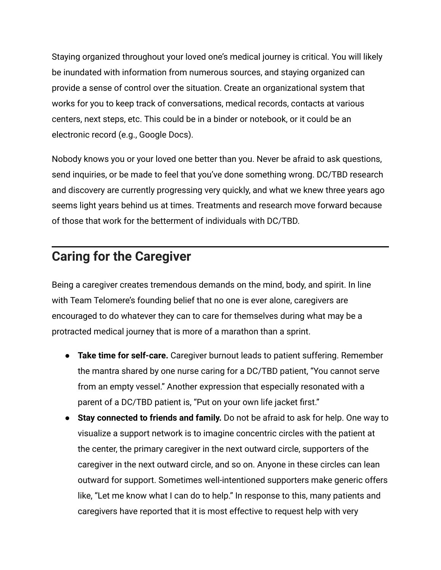Staying organized throughout your loved one's medical journey is critical. You will likely be inundated with information from numerous sources, and staying organized can provide a sense of control over the situation. Create an organizational system that works for you to keep track of conversations, medical records, contacts at various centers, next steps, etc. This could be in a binder or notebook, or it could be an electronic record (e.g., Google Docs).

Nobody knows you or your loved one better than you. Never be afraid to ask questions, send inquiries, or be made to feel that you've done something wrong. DC/TBD research and discovery are currently progressing very quickly, and what we knew three years ago seems light years behind us at times. Treatments and research move forward because of those that work for the betterment of individuals with DC/TBD.

#### **Caring for the Caregiver**

Being a caregiver creates tremendous demands on the mind, body, and spirit. In line with Team Telomere's founding belief that no one is ever alone, caregivers are encouraged to do whatever they can to care for themselves during what may be a protracted medical journey that is more of a marathon than a sprint.

- **Take time for self-care.** Caregiver burnout leads to patient suffering. Remember the mantra shared by one nurse caring for a DC/TBD patient, "You cannot serve from an empty vessel." Another expression that especially resonated with a parent of a DC/TBD patient is, "Put on your own life jacket first."
- **Stay connected to friends and family.** Do not be afraid to ask for help. One way to visualize a support network is to imagine concentric circles with the patient at the center, the primary caregiver in the next outward circle, supporters of the caregiver in the next outward circle, and so on. Anyone in these circles can lean outward for support. Sometimes well-intentioned supporters make generic offers like, "Let me know what I can do to help." In response to this, many patients and caregivers have reported that it is most effective to request help with very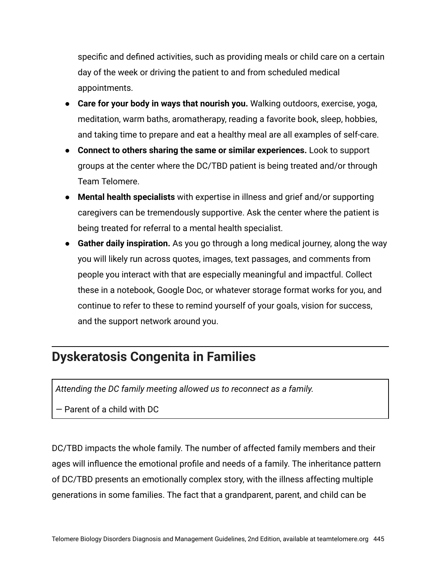specific and defined activities, such as providing meals or child care on a certain day of the week or driving the patient to and from scheduled medical appointments.

- **Care for your body in ways that nourish you.** Walking outdoors, exercise, yoga, meditation, warm baths, aromatherapy, reading a favorite book, sleep, hobbies, and taking time to prepare and eat a healthy meal are all examples of self-care.
- **Connect to others sharing the same or similar experiences.** Look to support groups at the center where the DC/TBD patient is being treated and/or through Team Telomere.
- **Mental health specialists** with expertise in illness and grief and/or supporting caregivers can be tremendously supportive. Ask the center where the patient is being treated for referral to a mental health specialist.
- **Gather daily inspiration.** As you go through a long medical journey, along the way you will likely run across quotes, images, text passages, and comments from people you interact with that are especially meaningful and impactful. Collect these in a notebook, Google Doc, or whatever storage format works for you, and continue to refer to these to remind yourself of your goals, vision for success, and the support network around you.

## **Dyskeratosis Congenita in Families**

*Attending the DC family meeting allowed us to reconnect as a family.*

— Parent of a child with DC

DC/TBD impacts the whole family. The number of affected family members and their ages will influence the emotional profile and needs of a family. The inheritance pattern of DC/TBD presents an emotionally complex story, with the illness affecting multiple generations in some families. The fact that a grandparent, parent, and child can be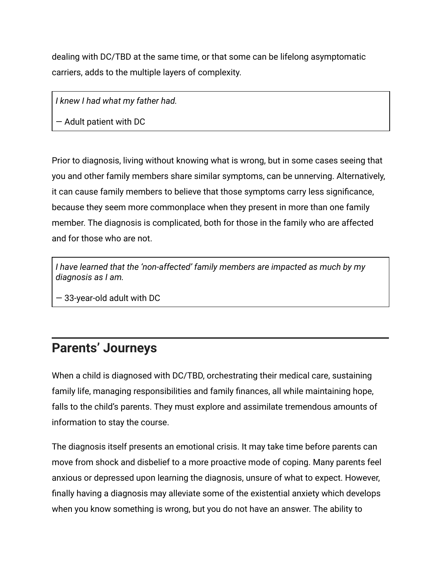dealing with DC/TBD at the same time, or that some can be lifelong asymptomatic carriers, adds to the multiple layers of complexity.

*I knew I had what my father had.*

— Adult patient with DC

Prior to diagnosis, living without knowing what is wrong, but in some cases seeing that you and other family members share similar symptoms, can be unnerving. Alternatively, it can cause family members to believe that those symptoms carry less significance, because they seem more commonplace when they present in more than one family member. The diagnosis is complicated, both for those in the family who are affected and for those who are not.

*I have learned that the 'non-affected' family members are impacted as much by my diagnosis as I am.*

— 33-year-old adult with DC

## **Parents' Journeys**

When a child is diagnosed with DC/TBD, orchestrating their medical care, sustaining family life, managing responsibilities and family finances, all while maintaining hope, falls to the child's parents. They must explore and assimilate tremendous amounts of information to stay the course.

The diagnosis itself presents an emotional crisis. It may take time before parents can move from shock and disbelief to a more proactive mode of coping. Many parents feel anxious or depressed upon learning the diagnosis, unsure of what to expect. However, finally having a diagnosis may alleviate some of the existential anxiety which develops when you know something is wrong, but you do not have an answer. The ability to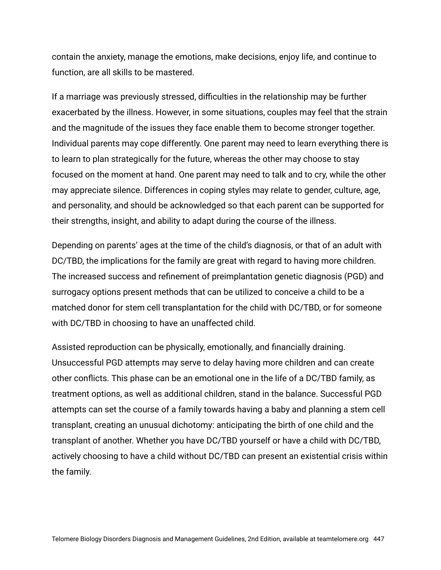contain the anxiety, manage the emotions, make decisions, enjoy life, and continue to function, are all skills to be mastered.

If a marriage was previously stressed, difficulties in the relationship may be further exacerbated by the illness. However, in some situations, couples may feel that the strain and the magnitude of the issues they face enable them to become stronger together. Individual parents may cope differently. One parent may need to learn everything there is to learn to plan strategically for the future, whereas the other may choose to stay focused on the moment at hand. One parent may need to talk and to cry, while the other may appreciate silence. Differences in coping styles may relate to gender, culture, age, and personality, and should be acknowledged so that each parent can be supported for their strengths, insight, and ability to adapt during the course of the illness.

Depending on parents' ages at the time of the child's diagnosis, or that of an adult with DC/TBD, the implications for the family are great with regard to having more children. The increased success and refinement of preimplantation genetic diagnosis (PGD) and surrogacy options present methods that can be utilized to conceive a child to be a matched donor for stem cell transplantation for the child with DC/TBD, or for someone with DC/TBD in choosing to have an unaffected child.

Assisted reproduction can be physically, emotionally, and financially draining. Unsuccessful PGD attempts may serve to delay having more children and can create other conflicts. This phase can be an emotional one in the life of a DC/TBD family, as treatment options, as well as additional children, stand in the balance. Successful PGD attempts can set the course of a family towards having a baby and planning a stem cell transplant, creating an unusual dichotomy: anticipating the birth of one child and the transplant of another. Whether you have DC/TBD yourself or have a child with DC/TBD, actively choosing to have a child without DC/TBD can present an existential crisis within the family.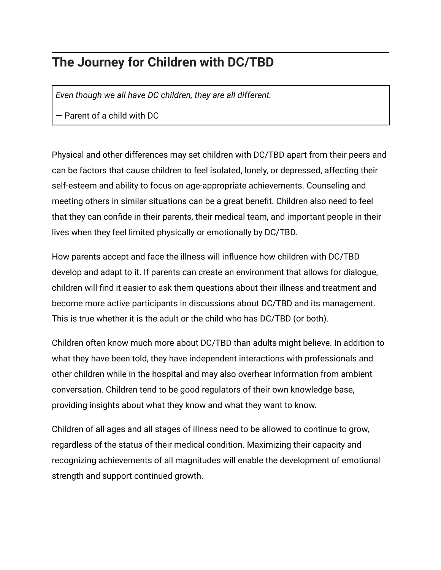## **The Journey for Children with DC/TBD**

*Even though we all have DC children, they are all different.*

— Parent of a child with DC

Physical and other differences may set children with DC/TBD apart from their peers and can be factors that cause children to feel isolated, lonely, or depressed, affecting their self-esteem and ability to focus on age-appropriate achievements. Counseling and meeting others in similar situations can be a great benefit. Children also need to feel that they can confide in their parents, their medical team, and important people in their lives when they feel limited physically or emotionally by DC/TBD.

How parents accept and face the illness will influence how children with DC/TBD develop and adapt to it. If parents can create an environment that allows for dialogue, children will find it easier to ask them questions about their illness and treatment and become more active participants in discussions about DC/TBD and its management. This is true whether it is the adult or the child who has DC/TBD (or both).

Children often know much more about DC/TBD than adults might believe. In addition to what they have been told, they have independent interactions with professionals and other children while in the hospital and may also overhear information from ambient conversation. Children tend to be good regulators of their own knowledge base, providing insights about what they know and what they want to know.

Children of all ages and all stages of illness need to be allowed to continue to grow, regardless of the status of their medical condition. Maximizing their capacity and recognizing achievements of all magnitudes will enable the development of emotional strength and support continued growth.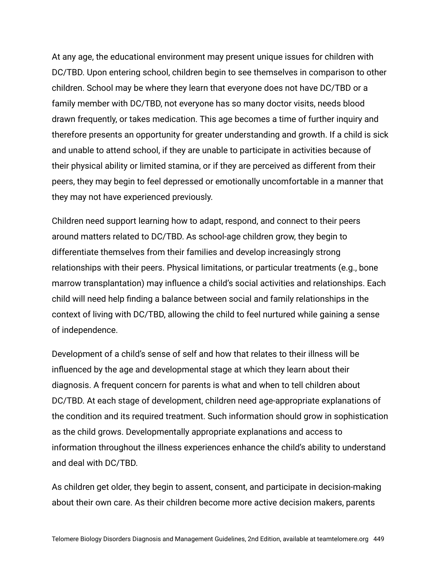At any age, the educational environment may present unique issues for children with DC/TBD. Upon entering school, children begin to see themselves in comparison to other children. School may be where they learn that everyone does not have DC/TBD or a family member with DC/TBD, not everyone has so many doctor visits, needs blood drawn frequently, or takes medication. This age becomes a time of further inquiry and therefore presents an opportunity for greater understanding and growth. If a child is sick and unable to attend school, if they are unable to participate in activities because of their physical ability or limited stamina, or if they are perceived as different from their peers, they may begin to feel depressed or emotionally uncomfortable in a manner that they may not have experienced previously.

Children need support learning how to adapt, respond, and connect to their peers around matters related to DC/TBD. As school-age children grow, they begin to differentiate themselves from their families and develop increasingly strong relationships with their peers. Physical limitations, or particular treatments (e.g., bone marrow transplantation) may influence a child's social activities and relationships. Each child will need help finding a balance between social and family relationships in the context of living with DC/TBD, allowing the child to feel nurtured while gaining a sense of independence.

Development of a child's sense of self and how that relates to their illness will be influenced by the age and developmental stage at which they learn about their diagnosis. A frequent concern for parents is what and when to tell children about DC/TBD. At each stage of development, children need age-appropriate explanations of the condition and its required treatment. Such information should grow in sophistication as the child grows. Developmentally appropriate explanations and access to information throughout the illness experiences enhance the child's ability to understand and deal with DC/TBD.

As children get older, they begin to assent, consent, and participate in decision-making about their own care. As their children become more active decision makers, parents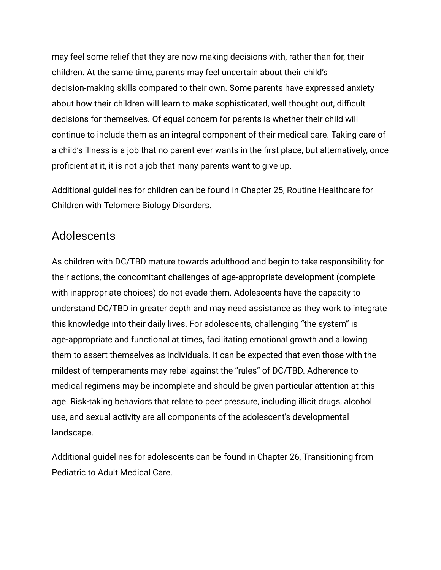may feel some relief that they are now making decisions with, rather than for, their children. At the same time, parents may feel uncertain about their child's decision-making skills compared to their own. Some parents have expressed anxiety about how their children will learn to make sophisticated, well thought out, difficult decisions for themselves. Of equal concern for parents is whether their child will continue to include them as an integral component of their medical care. Taking care of a child's illness is a job that no parent ever wants in the first place, but alternatively, once proficient at it, it is not a job that many parents want to give up.

Additional guidelines for children can be found in Chapter 25, Routine Healthcare for Children with Telomere Biology Disorders.

#### Adolescents

As children with DC/TBD mature towards adulthood and begin to take responsibility for their actions, the concomitant challenges of age-appropriate development (complete with inappropriate choices) do not evade them. Adolescents have the capacity to understand DC/TBD in greater depth and may need assistance as they work to integrate this knowledge into their daily lives. For adolescents, challenging "the system" is age-appropriate and functional at times, facilitating emotional growth and allowing them to assert themselves as individuals. It can be expected that even those with the mildest of temperaments may rebel against the "rules" of DC/TBD. Adherence to medical regimens may be incomplete and should be given particular attention at this age. Risk-taking behaviors that relate to peer pressure, including illicit drugs, alcohol use, and sexual activity are all components of the adolescent's developmental landscape.

Additional guidelines for adolescents can be found in Chapter 26, Transitioning from Pediatric to Adult Medical Care.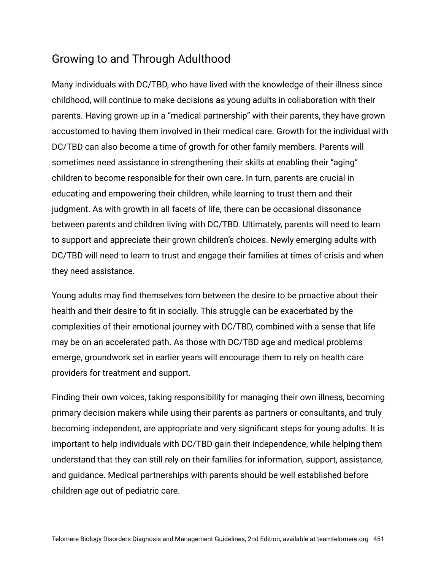#### Growing to and Through Adulthood

Many individuals with DC/TBD, who have lived with the knowledge of their illness since childhood, will continue to make decisions as young adults in collaboration with their parents. Having grown up in a "medical partnership" with their parents, they have grown accustomed to having them involved in their medical care. Growth for the individual with DC/TBD can also become a time of growth for other family members. Parents will sometimes need assistance in strengthening their skills at enabling their "aging" children to become responsible for their own care. In turn, parents are crucial in educating and empowering their children, while learning to trust them and their judgment. As with growth in all facets of life, there can be occasional dissonance between parents and children living with DC/TBD. Ultimately, parents will need to learn to support and appreciate their grown children's choices. Newly emerging adults with DC/TBD will need to learn to trust and engage their families at times of crisis and when they need assistance.

Young adults may find themselves torn between the desire to be proactive about their health and their desire to fit in socially. This struggle can be exacerbated by the complexities of their emotional journey with DC/TBD, combined with a sense that life may be on an accelerated path. As those with DC/TBD age and medical problems emerge, groundwork set in earlier years will encourage them to rely on health care providers for treatment and support.

Finding their own voices, taking responsibility for managing their own illness, becoming primary decision makers while using their parents as partners or consultants, and truly becoming independent, are appropriate and very significant steps for young adults. It is important to help individuals with DC/TBD gain their independence, while helping them understand that they can still rely on their families for information, support, assistance, and guidance. Medical partnerships with parents should be well established before children age out of pediatric care.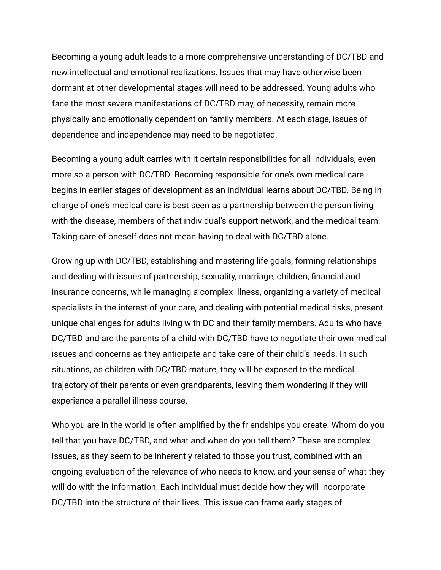Becoming a young adult leads to a more comprehensive understanding of DC/TBD and new intellectual and emotional realizations. Issues that may have otherwise been dormant at other developmental stages will need to be addressed. Young adults who face the most severe manifestations of DC/TBD may, of necessity, remain more physically and emotionally dependent on family members. At each stage, issues of dependence and independence may need to be negotiated.

Becoming a young adult carries with it certain responsibilities for all individuals, even more so a person with DC/TBD. Becoming responsible for one's own medical care begins in earlier stages of development as an individual learns about DC/TBD. Being in charge of one's medical care is best seen as a partnership between the person living with the disease, members of that individual's support network, and the medical team. Taking care of oneself does not mean having to deal with DC/TBD alone.

Growing up with DC/TBD, establishing and mastering life goals, forming relationships and dealing with issues of partnership, sexuality, marriage, children, financial and insurance concerns, while managing a complex illness, organizing a variety of medical specialists in the interest of your care, and dealing with potential medical risks, present unique challenges for adults living with DC and their family members. Adults who have DC/TBD and are the parents of a child with DC/TBD have to negotiate their own medical issues and concerns as they anticipate and take care of their child's needs. In such situations, as children with DC/TBD mature, they will be exposed to the medical trajectory of their parents or even grandparents, leaving them wondering if they will experience a parallel illness course.

Who you are in the world is often amplified by the friendships you create. Whom do you tell that you have DC/TBD, and what and when do you tell them? These are complex issues, as they seem to be inherently related to those you trust, combined with an ongoing evaluation of the relevance of who needs to know, and your sense of what they will do with the information. Each individual must decide how they will incorporate DC/TBD into the structure of their lives. This issue can frame early stages of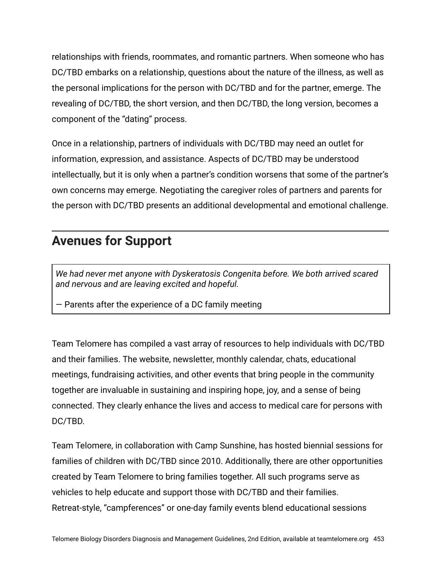relationships with friends, roommates, and romantic partners. When someone who has DC/TBD embarks on a relationship, questions about the nature of the illness, as well as the personal implications for the person with DC/TBD and for the partner, emerge. The revealing of DC/TBD, the short version, and then DC/TBD, the long version, becomes a component of the "dating" process.

Once in a relationship, partners of individuals with DC/TBD may need an outlet for information, expression, and assistance. Aspects of DC/TBD may be understood intellectually, but it is only when a partner's condition worsens that some of the partner's own concerns may emerge. Negotiating the caregiver roles of partners and parents for the person with DC/TBD presents an additional developmental and emotional challenge.

## **Avenues for Support**

*We had never met anyone with Dyskeratosis Congenita before. We both arrived scared and nervous and are leaving excited and hopeful.*

— Parents after the experience of a DC family meeting

Team Telomere has compiled a vast array of resources to help individuals with DC/TBD and their families. The website, newsletter, monthly calendar, chats, educational meetings, fundraising activities, and other events that bring people in the community together are invaluable in sustaining and inspiring hope, joy, and a sense of being connected. They clearly enhance the lives and access to medical care for persons with DC/TBD.

Team Telomere, in collaboration with Camp Sunshine, has hosted biennial sessions for families of children with DC/TBD since 2010. Additionally, there are other opportunities created by Team Telomere to bring families together. All such programs serve as vehicles to help educate and support those with DC/TBD and their families. Retreat-style, "campferences" or one-day family events blend educational sessions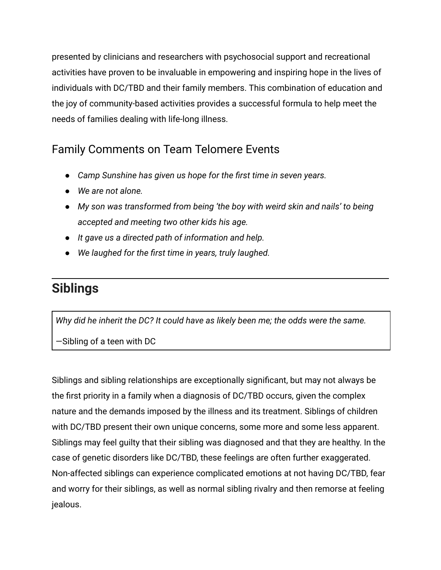presented by clinicians and researchers with psychosocial support and recreational activities have proven to be invaluable in empowering and inspiring hope in the lives of individuals with DC/TBD and their family members. This combination of education and the joy of community-based activities provides a successful formula to help meet the needs of families dealing with life-long illness.

#### Family Comments on Team Telomere Events

- *Camp Sunshine has given us hope for the first time in seven years.*
- *● We are not alone.*
- *● My son was transformed from being 'the boy with weird skin and nails' to being accepted and meeting two other kids his age.*
- *● It gave us a directed path of information and help.*
- *● We laughed for the first time in years, truly laughed.*

## **Siblings**

*Why did he inherit the DC? It could have as likely been me; the odds were the same.*

—Sibling of a teen with DC

Siblings and sibling relationships are exceptionally significant, but may not always be the first priority in a family when a diagnosis of DC/TBD occurs, given the complex nature and the demands imposed by the illness and its treatment. Siblings of children with DC/TBD present their own unique concerns, some more and some less apparent. Siblings may feel guilty that their sibling was diagnosed and that they are healthy. In the case of genetic disorders like DC/TBD, these feelings are often further exaggerated. Non-affected siblings can experience complicated emotions at not having DC/TBD, fear and worry for their siblings, as well as normal sibling rivalry and then remorse at feeling jealous.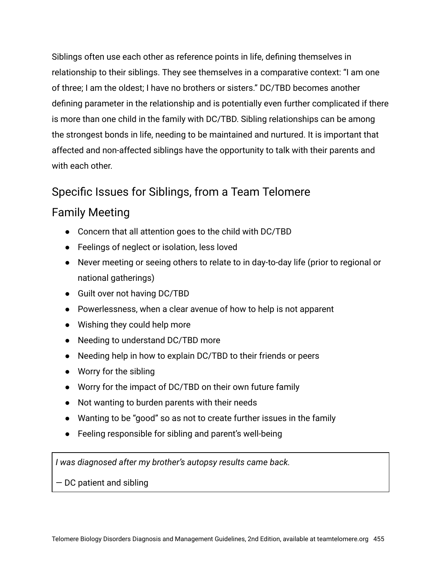Siblings often use each other as reference points in life, defining themselves in relationship to their siblings. They see themselves in a comparative context: "I am one of three; I am the oldest; I have no brothers or sisters." DC/TBD becomes another defining parameter in the relationship and is potentially even further complicated if there is more than one child in the family with DC/TBD. Sibling relationships can be among the strongest bonds in life, needing to be maintained and nurtured. It is important that affected and non-affected siblings have the opportunity to talk with their parents and with each other.

#### Specific Issues for Siblings, from a Team Telomere

#### Family Meeting

- Concern that all attention goes to the child with DC/TBD
- Feelings of neglect or isolation, less loved
- Never meeting or seeing others to relate to in day-to-day life (prior to regional or national gatherings)
- Guilt over not having DC/TBD
- Powerlessness, when a clear avenue of how to help is not apparent
- Wishing they could help more
- Needing to understand DC/TBD more
- Needing help in how to explain DC/TBD to their friends or peers
- Worry for the sibling
- Worry for the impact of DC/TBD on their own future family
- Not wanting to burden parents with their needs
- Wanting to be "good" so as not to create further issues in the family
- Feeling responsible for sibling and parent's well-being

*I was diagnosed after my brother's autopsy results came back.*

— DC patient and sibling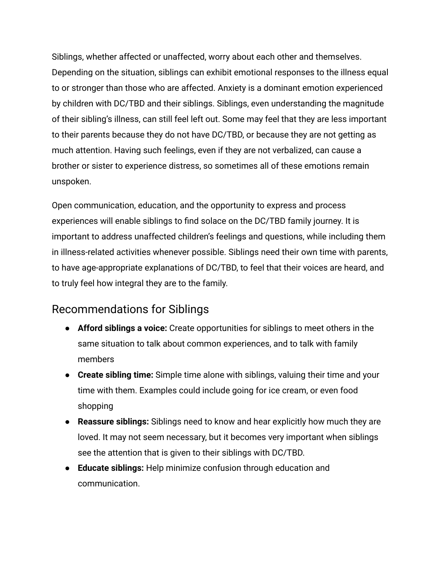Siblings, whether affected or unaffected, worry about each other and themselves. Depending on the situation, siblings can exhibit emotional responses to the illness equal to or stronger than those who are affected. Anxiety is a dominant emotion experienced by children with DC/TBD and their siblings. Siblings, even understanding the magnitude of their sibling's illness, can still feel left out. Some may feel that they are less important to their parents because they do not have DC/TBD, or because they are not getting as much attention. Having such feelings, even if they are not verbalized, can cause a brother or sister to experience distress, so sometimes all of these emotions remain unspoken.

Open communication, education, and the opportunity to express and process experiences will enable siblings to find solace on the DC/TBD family journey. It is important to address unaffected children's feelings and questions, while including them in illness-related activities whenever possible. Siblings need their own time with parents, to have age-appropriate explanations of DC/TBD, to feel that their voices are heard, and to truly feel how integral they are to the family.

#### Recommendations for Siblings

- **Afford siblings a voice:** Create opportunities for siblings to meet others in the same situation to talk about common experiences, and to talk with family members
- **Create sibling time:** Simple time alone with siblings, valuing their time and your time with them. Examples could include going for ice cream, or even food shopping
- **Reassure siblings:** Siblings need to know and hear explicitly how much they are loved. It may not seem necessary, but it becomes very important when siblings see the attention that is given to their siblings with DC/TBD.
- **Educate siblings:** Help minimize confusion through education and communication.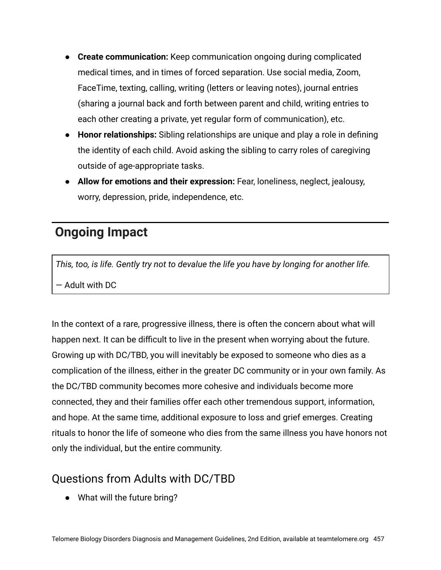- **Create communication:** Keep communication ongoing during complicated medical times, and in times of forced separation. Use social media, Zoom, FaceTime, texting, calling, writing (letters or leaving notes), journal entries (sharing a journal back and forth between parent and child, writing entries to each other creating a private, yet regular form of communication), etc.
- **Honor relationships:** Sibling relationships are unique and play a role in defining the identity of each child. Avoid asking the sibling to carry roles of caregiving outside of age-appropriate tasks.
- **Allow for emotions and their expression:** Fear, loneliness, neglect, jealousy, worry, depression, pride, independence, etc.

## **Ongoing Impact**

*This, too, is life. Gently try not to devalue the life you have by longing for another life.* — Adult with DC

In the context of a rare, progressive illness, there is often the concern about what will happen next. It can be difficult to live in the present when worrying about the future. Growing up with DC/TBD, you will inevitably be exposed to someone who dies as a complication of the illness, either in the greater DC community or in your own family. As the DC/TBD community becomes more cohesive and individuals become more connected, they and their families offer each other tremendous support, information, and hope. At the same time, additional exposure to loss and grief emerges. Creating rituals to honor the life of someone who dies from the same illness you have honors not only the individual, but the entire community.

#### Questions from Adults with DC/TBD

● What will the future bring?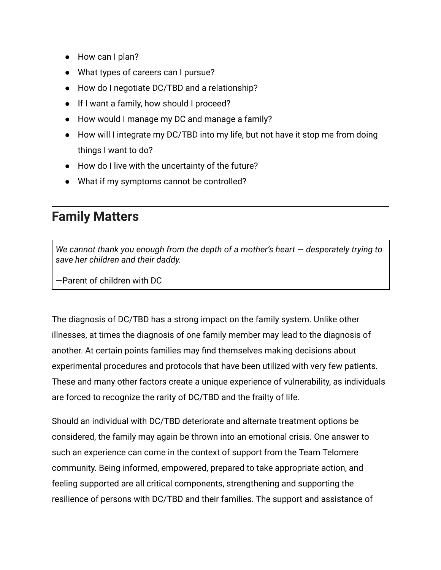- How can I plan?
- What types of careers can I pursue?
- How do I negotiate DC/TBD and a relationship?
- If I want a family, how should I proceed?
- How would I manage my DC and manage a family?
- How will I integrate my DC/TBD into my life, but not have it stop me from doing things I want to do?
- How do I live with the uncertainty of the future?
- What if my symptoms cannot be controlled?

## **Family Matters**

*We cannot thank you enough from the depth of a mother's heart — desperately trying to save her children and their daddy.*

—Parent of children with DC

The diagnosis of DC/TBD has a strong impact on the family system. Unlike other illnesses, at times the diagnosis of one family member may lead to the diagnosis of another. At certain points families may find themselves making decisions about experimental procedures and protocols that have been utilized with very few patients. These and many other factors create a unique experience of vulnerability, as individuals are forced to recognize the rarity of DC/TBD and the frailty of life.

Should an individual with DC/TBD deteriorate and alternate treatment options be considered, the family may again be thrown into an emotional crisis. One answer to such an experience can come in the context of support from the Team Telomere community. Being informed, empowered, prepared to take appropriate action, and feeling supported are all critical components, strengthening and supporting the resilience of persons with DC/TBD and their families. The support and assistance of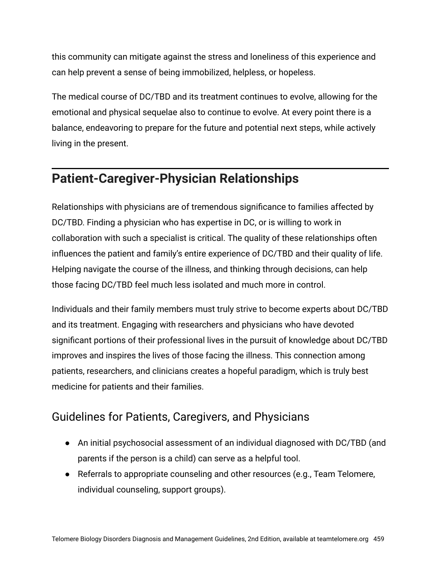this community can mitigate against the stress and loneliness of this experience and can help prevent a sense of being immobilized, helpless, or hopeless.

The medical course of DC/TBD and its treatment continues to evolve, allowing for the emotional and physical sequelae also to continue to evolve. At every point there is a balance, endeavoring to prepare for the future and potential next steps, while actively living in the present.

## **Patient-Caregiver-Physician Relationships**

Relationships with physicians are of tremendous significance to families affected by DC/TBD. Finding a physician who has expertise in DC, or is willing to work in collaboration with such a specialist is critical. The quality of these relationships often influences the patient and family's entire experience of DC/TBD and their quality of life. Helping navigate the course of the illness, and thinking through decisions, can help those facing DC/TBD feel much less isolated and much more in control.

Individuals and their family members must truly strive to become experts about DC/TBD and its treatment. Engaging with researchers and physicians who have devoted significant portions of their professional lives in the pursuit of knowledge about DC/TBD improves and inspires the lives of those facing the illness. This connection among patients, researchers, and clinicians creates a hopeful paradigm, which is truly best medicine for patients and their families.

#### Guidelines for Patients, Caregivers, and Physicians

- An initial psychosocial assessment of an individual diagnosed with DC/TBD (and parents if the person is a child) can serve as a helpful tool.
- Referrals to appropriate counseling and other resources (e.g., Team Telomere, individual counseling, support groups).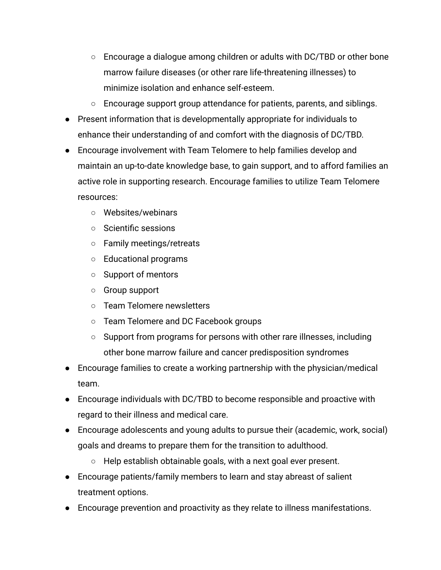- Encourage a dialogue among children or adults with DC/TBD or other bone marrow failure diseases (or other rare life-threatening illnesses) to minimize isolation and enhance self-esteem.
- Encourage support group attendance for patients, parents, and siblings.
- Present information that is developmentally appropriate for individuals to enhance their understanding of and comfort with the diagnosis of DC/TBD.
- Encourage involvement with Team Telomere to help families develop and maintain an up-to-date knowledge base, to gain support, and to afford families an active role in supporting research. Encourage families to utilize Team Telomere resources:
	- Websites/webinars
	- Scientific sessions
	- Family meetings/retreats
	- Educational programs
	- Support of mentors
	- Group support
	- Team Telomere newsletters
	- Team Telomere and DC Facebook groups
	- Support from programs for persons with other rare illnesses, including other bone marrow failure and cancer predisposition syndromes
- Encourage families to create a working partnership with the physician/medical team.
- Encourage individuals with DC/TBD to become responsible and proactive with regard to their illness and medical care.
- Encourage adolescents and young adults to pursue their (academic, work, social) goals and dreams to prepare them for the transition to adulthood.
	- $\circ$  Help establish obtainable goals, with a next goal ever present.
- Encourage patients/family members to learn and stay abreast of salient treatment options.
- Encourage prevention and proactivity as they relate to illness manifestations.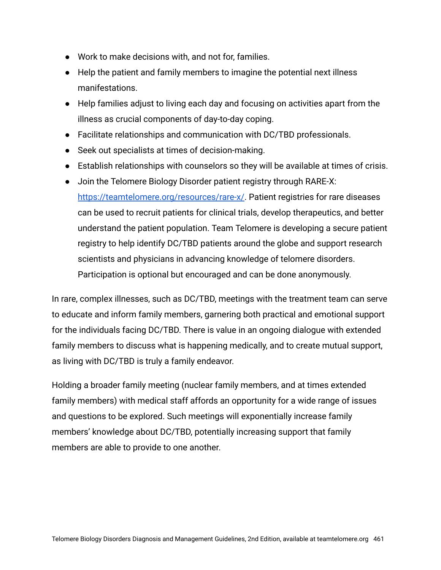- Work to make decisions with, and not for, families.
- Help the patient and family members to imagine the potential next illness manifestations.
- Help families adjust to living each day and focusing on activities apart from the illness as crucial components of day-to-day coping.
- Facilitate relationships and communication with DC/TBD professionals.
- Seek out specialists at times of decision-making.
- Establish relationships with counselors so they will be available at times of crisis.
- Join the Telomere Biology Disorder patient registry through RARE-X: [https://teamtelomere.org/resources/rare-x/.](https://teamtelomere.org/resources/rare-x/) Patient registries for rare diseases can be used to recruit patients for clinical trials, develop therapeutics, and better understand the patient population. Team Telomere is developing a secure patient registry to help identify DC/TBD patients around the globe and support research scientists and physicians in advancing knowledge of telomere disorders. Participation is optional but encouraged and can be done anonymously.

In rare, complex illnesses, such as DC/TBD, meetings with the treatment team can serve to educate and inform family members, garnering both practical and emotional support for the individuals facing DC/TBD. There is value in an ongoing dialogue with extended family members to discuss what is happening medically, and to create mutual support, as living with DC/TBD is truly a family endeavor.

Holding a broader family meeting (nuclear family members, and at times extended family members) with medical staff affords an opportunity for a wide range of issues and questions to be explored. Such meetings will exponentially increase family members' knowledge about DC/TBD, potentially increasing support that family members are able to provide to one another.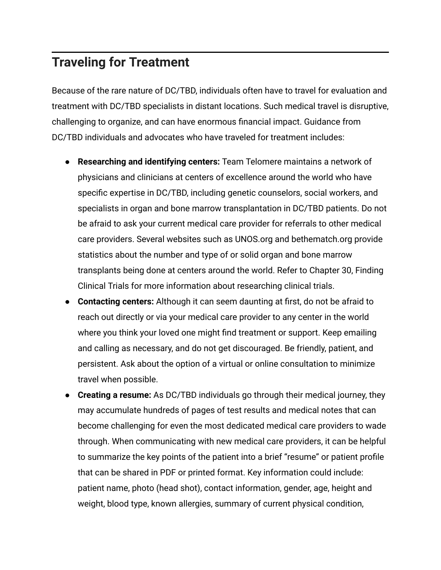## **Traveling for Treatment**

Because of the rare nature of DC/TBD, individuals often have to travel for evaluation and treatment with DC/TBD specialists in distant locations. Such medical travel is disruptive, challenging to organize, and can have enormous financial impact. Guidance from DC/TBD individuals and advocates who have traveled for treatment includes:

- **Researching and identifying centers:** Team Telomere maintains a network of physicians and clinicians at centers of excellence around the world who have specific expertise in DC/TBD, including genetic counselors, social workers, and specialists in organ and bone marrow transplantation in DC/TBD patients. Do not be afraid to ask your current medical care provider for referrals to other medical care providers. Several websites such as UNOS.org and bethematch.org provide statistics about the number and type of or solid organ and bone marrow transplants being done at centers around the world. Refer to Chapter 30, Finding Clinical Trials for more information about researching clinical trials.
- **Contacting centers:** Although it can seem daunting at first, do not be afraid to reach out directly or via your medical care provider to any center in the world where you think your loved one might find treatment or support. Keep emailing and calling as necessary, and do not get discouraged. Be friendly, patient, and persistent. Ask about the option of a virtual or online consultation to minimize travel when possible.
- **Creating a resume:** As DC/TBD individuals go through their medical journey, they may accumulate hundreds of pages of test results and medical notes that can become challenging for even the most dedicated medical care providers to wade through. When communicating with new medical care providers, it can be helpful to summarize the key points of the patient into a brief "resume" or patient profile that can be shared in PDF or printed format. Key information could include: patient name, photo (head shot), contact information, gender, age, height and weight, blood type, known allergies, summary of current physical condition,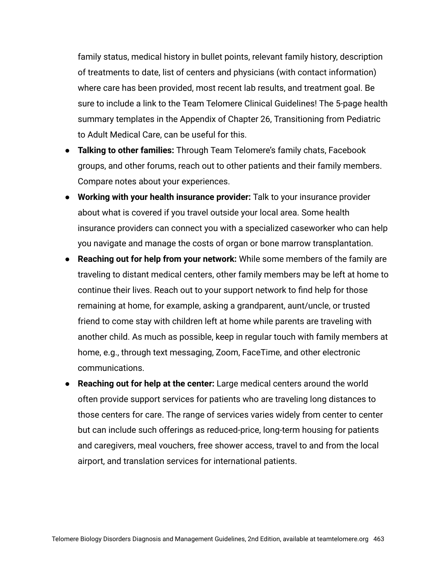family status, medical history in bullet points, relevant family history, description of treatments to date, list of centers and physicians (with contact information) where care has been provided, most recent lab results, and treatment goal. Be sure to include a link to the Team Telomere Clinical Guidelines! The 5-page health summary templates in the Appendix of Chapter 26, Transitioning from Pediatric to Adult Medical Care, can be useful for this.

- **Talking to other families:** Through Team Telomere's family chats, Facebook groups, and other forums, reach out to other patients and their family members. Compare notes about your experiences.
- **Working with your health insurance provider:** Talk to your insurance provider about what is covered if you travel outside your local area. Some health insurance providers can connect you with a specialized caseworker who can help you navigate and manage the costs of organ or bone marrow transplantation.
- **Reaching out for help from your network:** While some members of the family are traveling to distant medical centers, other family members may be left at home to continue their lives. Reach out to your support network to find help for those remaining at home, for example, asking a grandparent, aunt/uncle, or trusted friend to come stay with children left at home while parents are traveling with another child. As much as possible, keep in regular touch with family members at home, e.g., through text messaging, Zoom, FaceTime, and other electronic communications.
- **Reaching out for help at the center:** Large medical centers around the world often provide support services for patients who are traveling long distances to those centers for care. The range of services varies widely from center to center but can include such offerings as reduced-price, long-term housing for patients and caregivers, meal vouchers, free shower access, travel to and from the local airport, and translation services for international patients.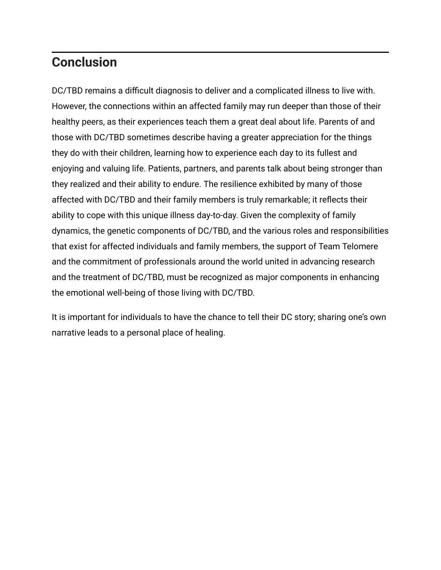## **Conclusion**

DC/TBD remains a difficult diagnosis to deliver and a complicated illness to live with. However, the connections within an affected family may run deeper than those of their healthy peers, as their experiences teach them a great deal about life. Parents of and those with DC/TBD sometimes describe having a greater appreciation for the things they do with their children, learning how to experience each day to its fullest and enjoying and valuing life. Patients, partners, and parents talk about being stronger than they realized and their ability to endure. The resilience exhibited by many of those affected with DC/TBD and their family members is truly remarkable; it reflects their ability to cope with this unique illness day-to-day. Given the complexity of family dynamics, the genetic components of DC/TBD, and the various roles and responsibilities that exist for affected individuals and family members, the support of Team Telomere and the commitment of professionals around the world united in advancing research and the treatment of DC/TBD, must be recognized as major components in enhancing the emotional well-being of those living with DC/TBD.

It is important for individuals to have the chance to tell their DC story; sharing one's own narrative leads to a personal place of healing.